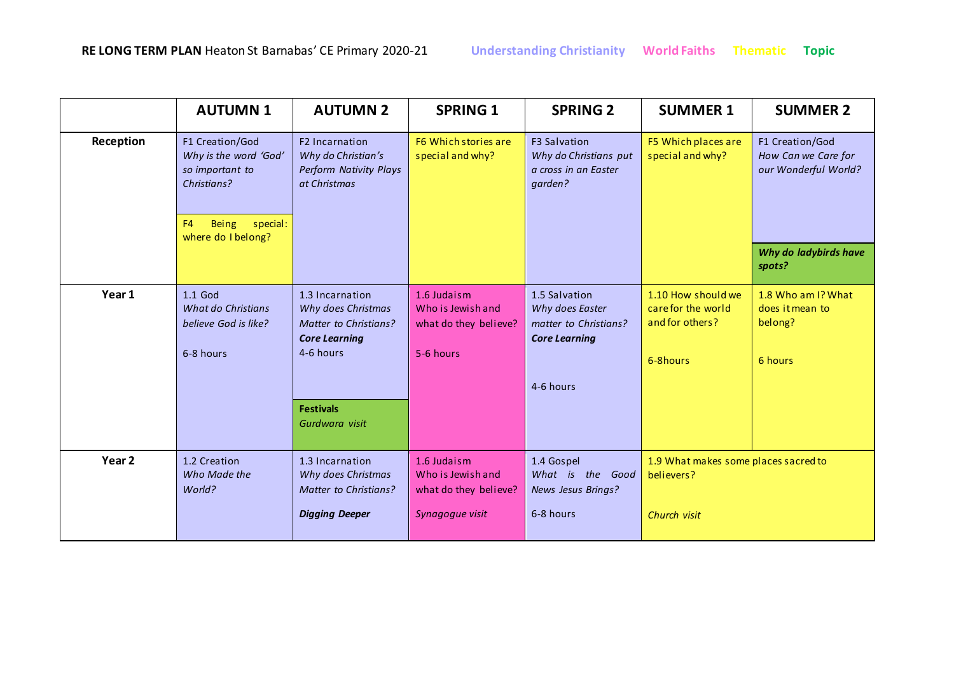|                   | <b>AUTUMN1</b>                                                                                                                       | <b>AUTUMN 2</b>                                                                                     | <b>SPRING 1</b>                                                        | <b>SPRING 2</b>                                                                   | <b>SUMMER 1</b>                                                        | <b>SUMMER 2</b>                                                |
|-------------------|--------------------------------------------------------------------------------------------------------------------------------------|-----------------------------------------------------------------------------------------------------|------------------------------------------------------------------------|-----------------------------------------------------------------------------------|------------------------------------------------------------------------|----------------------------------------------------------------|
| Reception         | F1 Creation/God<br>Why is the word 'God'<br>so important to<br>Christians?<br>Being special:<br>F <sub>4</sub><br>where do I belong? | F <sub>2</sub> Incarnation<br>Why do Christian's<br>Perform Nativity Plays<br>at Christmas          | F6 Which stories are<br>special and why?                               | <b>F3 Salvation</b><br>Why do Christians put<br>a cross in an Easter<br>garden?   | F5 Which places are<br>special and why?                                | F1 Creation/God<br>How Can we Care for<br>our Wonderful World? |
|                   |                                                                                                                                      |                                                                                                     |                                                                        |                                                                                   |                                                                        | Why do ladybirds have<br>spots?                                |
| Year 1            | $1.1$ God<br><b>What do Christians</b><br>believe God is like?<br>6-8 hours                                                          | 1.3 Incarnation<br>Why does Christmas<br>Matter to Christians?<br><b>Core Learning</b><br>4-6 hours | 1.6 Judaism<br>Who is Jewish and<br>what do they believe?<br>5-6 hours | 1.5 Salvation<br>Why does Easter<br>matter to Christians?<br><b>Core Learning</b> | 1.10 How should we<br>carefor the world<br>and for others?<br>6-8hours | 1.8 Who am I? What<br>does it mean to<br>belong?<br>6 hours    |
|                   |                                                                                                                                      |                                                                                                     |                                                                        | 4-6 hours                                                                         |                                                                        |                                                                |
|                   |                                                                                                                                      | <b>Festivals</b><br>Gurdwara visit                                                                  |                                                                        |                                                                                   |                                                                        |                                                                |
| Year <sub>2</sub> | 1.2 Creation<br>Who Made the<br>World?                                                                                               | 1.3 Incarnation<br>Why does Christmas<br>Matter to Christians?                                      | 1.6 Judaism<br>Who is Jewish and<br>what do they believe?              | 1.4 Gospel<br>What is the Good<br>News Jesus Brings?                              | 1.9 What makes some places sacred to<br>believers?                     |                                                                |
|                   |                                                                                                                                      | <b>Digging Deeper</b>                                                                               | Synagogue visit                                                        | 6-8 hours                                                                         | Church visit                                                           |                                                                |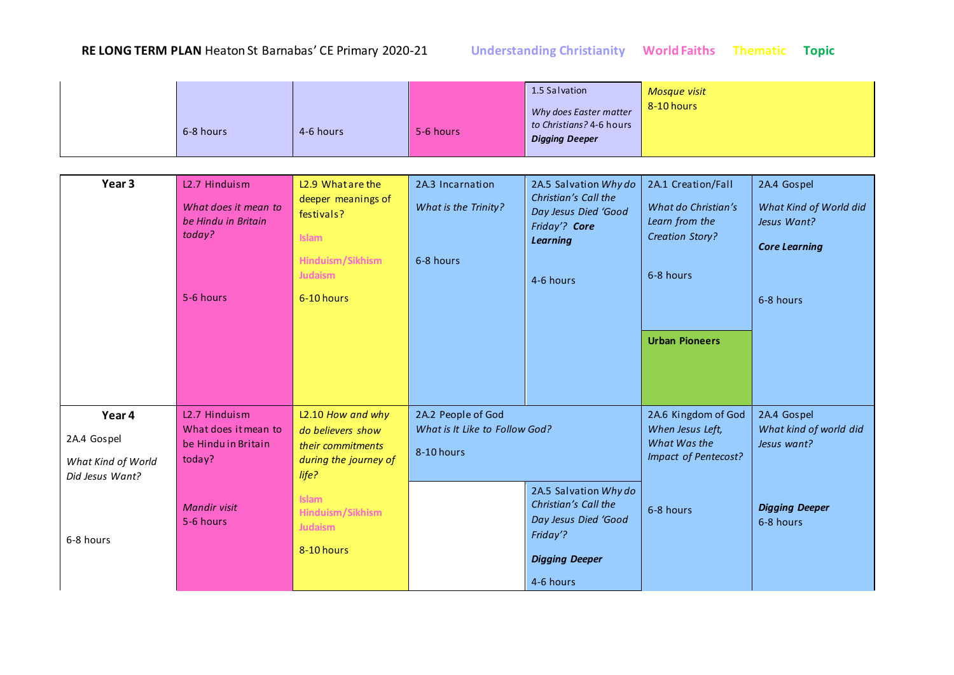|                                       | 6-8 hours                                   | 4-6 hours                                          | 5-6 hours                      | 1.5 Salvation<br>Why does Easter matter<br>to Christians? 4-6 hours<br><b>Digging Deeper</b> | <b>Mosque visit</b><br>8-10 hours     |                                       |
|---------------------------------------|---------------------------------------------|----------------------------------------------------|--------------------------------|----------------------------------------------------------------------------------------------|---------------------------------------|---------------------------------------|
|                                       |                                             |                                                    |                                |                                                                                              |                                       |                                       |
| Year 3                                | L <sub>2.7</sub> Hinduism                   | L <sub>2.9</sub> What are the                      | 2A.3 Incarnation               | 2A.5 Salvation Why do<br>Christian's Call the                                                | 2A.1 Creation/Fall                    | 2A.4 Gospel                           |
|                                       | What does it mean to<br>be Hindu in Britain | deeper meanings of<br>festivals?                   | What is the Trinity?           | Day Jesus Died 'Good<br>Friday'? Core                                                        | What do Christian's<br>Learn from the | What Kind of World did<br>Jesus Want? |
|                                       | today?                                      | <b>Islam</b>                                       |                                | <b>Learning</b>                                                                              | <b>Creation Story?</b>                | <b>Core Learning</b>                  |
|                                       |                                             | Hinduism/Sikhism<br><b>Judaism</b>                 | 6-8 hours                      | 4-6 hours                                                                                    | 6-8 hours                             |                                       |
|                                       | 5-6 hours                                   | 6-10 hours                                         |                                |                                                                                              |                                       | 6-8 hours                             |
|                                       |                                             |                                                    |                                |                                                                                              | <b>Urban Pioneers</b>                 |                                       |
| Year 4                                | L <sub>2.7</sub> Hinduism                   | L2.10 How and why                                  | 2A.2 People of God             |                                                                                              | 2A.6 Kingdom of God                   | 2A.4 Gospel                           |
| 2A.4 Gospel                           | What does it mean to<br>be Hindu in Britain | do believers show<br>their commitments             | What is It Like to Follow God? |                                                                                              | When Jesus Left,<br>What Was the      | What kind of world did<br>Jesus want? |
| What Kind of World<br>Did Jesus Want? | today?                                      | during the journey of<br>life?                     | 8-10 hours                     |                                                                                              | Impact of Pentecost?                  |                                       |
| 6-8 hours                             | <b>Mandir visit</b><br>5-6 hours            | <b>Islam</b><br>Hinduism/Sikhism<br><b>Judaism</b> |                                | 2A.5 Salvation Why do<br>Christian's Call the<br>Day Jesus Died 'Good<br>Friday'?            | 6-8 hours                             | <b>Digging Deeper</b><br>6-8 hours    |
|                                       |                                             | 8-10 hours                                         |                                | <b>Digging Deeper</b>                                                                        |                                       |                                       |
|                                       |                                             |                                                    |                                | 4-6 hours                                                                                    |                                       |                                       |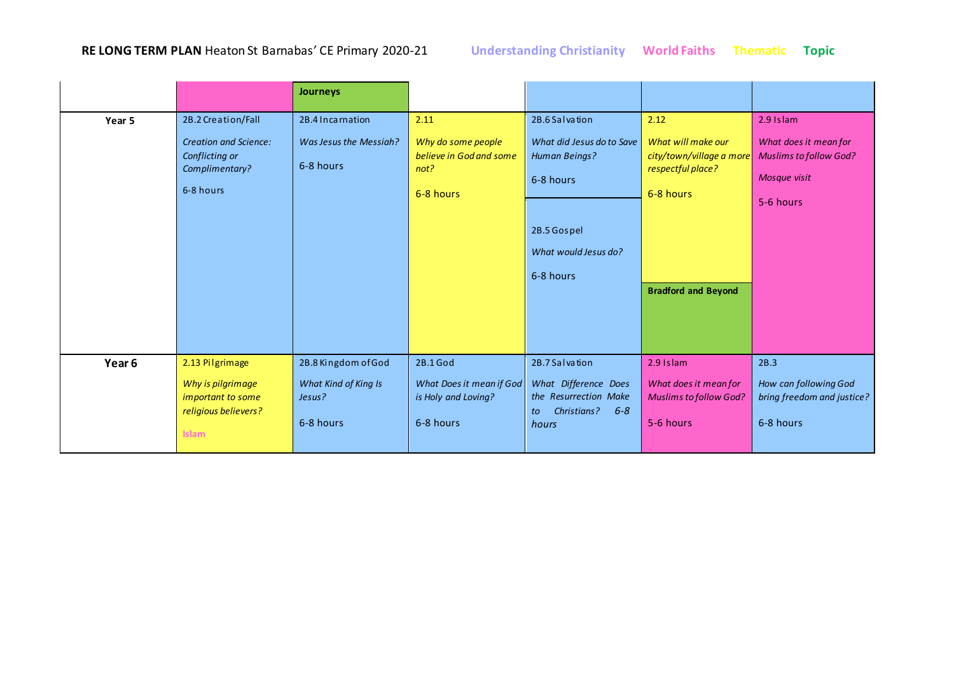|        |                                                                                                     | <b>Journeys</b>                                                    |                                                                            |                                                                                                                               |                                                                                                                        |                                                                                                  |
|--------|-----------------------------------------------------------------------------------------------------|--------------------------------------------------------------------|----------------------------------------------------------------------------|-------------------------------------------------------------------------------------------------------------------------------|------------------------------------------------------------------------------------------------------------------------|--------------------------------------------------------------------------------------------------|
| Year 5 | 2B.2 Creation/Fall<br><b>Creation and Science:</b><br>Conflicting or<br>Complimentary?<br>6-8 hours | 2B.4 Incarnation<br>Was Jesus the Messiah?<br>6-8 hours            | 2.11<br>Why do some people<br>believe in God and some<br>not?<br>6-8 hours | 2B.6 Salvation<br>What did Jesus do to Save<br>Human Beings?<br>6-8 hours<br>2B.5 Gospel<br>What would Jesus do?<br>6-8 hours | 2.12<br>What will make our<br>city/town/village a more<br>respectful place?<br>6-8 hours<br><b>Bradford and Beyond</b> | 2.9 Islam<br>What does it mean for<br><b>Muslims to follow God?</b><br>Mosque visit<br>5-6 hours |
| Year 6 | 2.13 Pilgrimage<br>Why is pilgrimage<br>important to some<br>religious believers?<br><b>Islam</b>   | 2B.8 Kingdom of God<br>What Kind of King Is<br>Jesus?<br>6-8 hours | 2B.1 God<br>What Does it mean if God<br>is Holy and Loving?<br>6-8 hours   | 2B.7 Salvation<br>What Difference Does<br>the Resurrection Make<br>$6 - 8$<br>Christians?<br>to<br>hours                      | 2.9 Islam<br>What does it mean for<br><b>Muslims to follow God?</b><br>5-6 hours                                       | 2B.3<br>How can following God<br>bring freedom and justice?<br>6-8 hours                         |